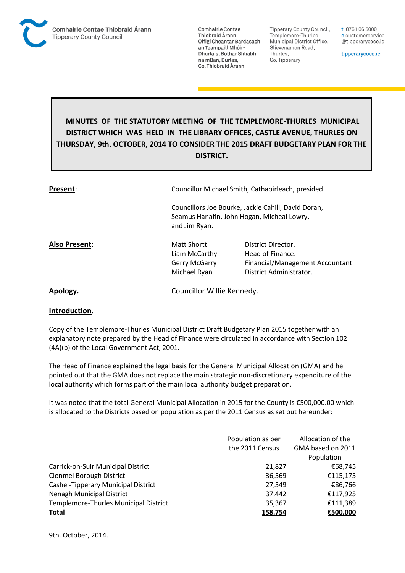

**Comhairle Contae** Thiobraid Árann, Oifigí Cheantar Bardasach an Teampaill Mhóir-Dhurlais, Bóthar Shliabh na mBan, Durlas. Co. Thiobraid Árann

Tipperary County Council, Templemore-Thurles Municipal District Office, Slievenamon Road, Thurles, Co. Tipperary

t 0761 06 5000 e customerservice @tipperarycoco.ie

tipperarycoco.ie

## **MINUTES OF THE STATUTORY MEETING OF THE TEMPLEMORE-THURLES MUNICIPAL DISTRICT WHICH WAS HELD IN THE LIBRARY OFFICES, CASTLE AVENUE, THURLES ON THURSDAY, 9th. OCTOBER, 2014 TO CONSIDER THE 2015 DRAFT BUDGETARY PLAN FOR THE DISTRICT.**

| Present:      | Councillor Michael Smith, Cathaoirleach, presided.                                                                 |                                                                                                      |  |
|---------------|--------------------------------------------------------------------------------------------------------------------|------------------------------------------------------------------------------------------------------|--|
|               | Councillors Joe Bourke, Jackie Cahill, David Doran,<br>Seamus Hanafin, John Hogan, Micheál Lowry,<br>and Jim Ryan. |                                                                                                      |  |
| Also Present: | Matt Shortt<br>Liam McCarthy<br>Gerry McGarry<br>Michael Ryan                                                      | District Director.<br>Head of Finance.<br>Financial/Management Accountant<br>District Administrator. |  |
| Apology.      | Councillor Willie Kennedy.                                                                                         |                                                                                                      |  |

## **Introduction.**

Copy of the Templemore-Thurles Municipal District Draft Budgetary Plan 2015 together with an explanatory note prepared by the Head of Finance were circulated in accordance with Section 102 (4A)(b) of the Local Government Act, 2001.

The Head of Finance explained the legal basis for the General Municipal Allocation (GMA) and he pointed out that the GMA does not replace the main strategic non-discretionary expenditure of the local authority which forms part of the main local authority budget preparation.

It was noted that the total General Municipal Allocation in 2015 for the County is €500,000.00 which is allocated to the Districts based on population as per the 2011 Census as set out hereunder:

|                                       | Population as per | Allocation of the |
|---------------------------------------|-------------------|-------------------|
|                                       | the 2011 Census   | GMA based on 2011 |
|                                       |                   | Population        |
| Carrick-on-Suir Municipal District    | 21,827            | €68,745           |
| <b>Clonmel Borough District</b>       | 36,569            | €115,175          |
| Cashel-Tipperary Municipal District   | 27,549            | €86,766           |
| Nenagh Municipal District             | 37,442            | €117,925          |
| Templemore-Thurles Municipal District | 35,367            | €111,389          |
| <b>Total</b>                          | 158,754           | €500,000          |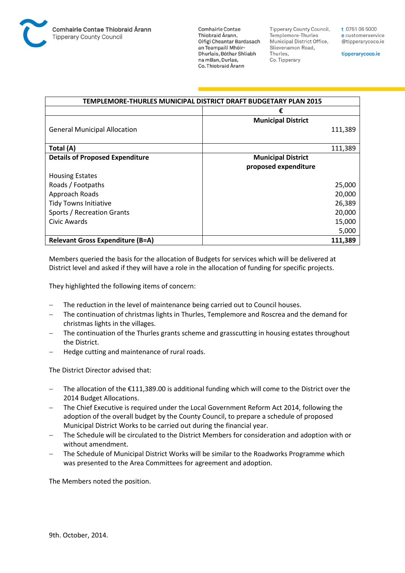

**Comhairle Contae** Thiobraid Árann, Oifigí Cheantar Bardasach an Teampaill Mhóir-Dhurlais, Bóthar Shliabh na mBan, Durlas. Co. Thiobraid Árann

**Tipperary County Council,** Templemore-Thurles Municipal District Office, Slievenamon Road, Thurles, Co. Tipperary

t 0761 06 5000 e customerservice @tipperarycoco.ie

tipperarycoco.ie

| TEMPLEMORE-THURLES MUNICIPAL DISTRICT DRAFT BUDGETARY PLAN 2015 |                           |  |
|-----------------------------------------------------------------|---------------------------|--|
|                                                                 | €                         |  |
|                                                                 | <b>Municipal District</b> |  |
| <b>General Municipal Allocation</b>                             | 111,389                   |  |
|                                                                 |                           |  |
| Total (A)                                                       | 111,389                   |  |
| <b>Details of Proposed Expenditure</b>                          | <b>Municipal District</b> |  |
|                                                                 | proposed expenditure      |  |
| <b>Housing Estates</b>                                          |                           |  |
| Roads / Footpaths                                               | 25,000                    |  |
| Approach Roads                                                  | 20,000                    |  |
| <b>Tidy Towns Initiative</b>                                    | 26,389                    |  |
| Sports / Recreation Grants                                      | 20,000                    |  |
| Civic Awards                                                    | 15,000                    |  |
|                                                                 | 5,000                     |  |
| <b>Relevant Gross Expenditure (B=A)</b>                         | 111,389                   |  |

Members queried the basis for the allocation of Budgets for services which will be delivered at District level and asked if they will have a role in the allocation of funding for specific projects.

They highlighted the following items of concern:

- The reduction in the level of maintenance being carried out to Council houses.
- The continuation of christmas lights in Thurles, Templemore and Roscrea and the demand for christmas lights in the villages.
- The continuation of the Thurles grants scheme and grasscutting in housing estates throughout the District.
- Hedge cutting and maintenance of rural roads.

The District Director advised that:

- The allocation of the €111,389.00 is additional funding which will come to the District over the 2014 Budget Allocations.
- The Chief Executive is required under the Local Government Reform Act 2014, following the adoption of the overall budget by the County Council, to prepare a schedule of proposed Municipal District Works to be carried out during the financial year.
- The Schedule will be circulated to the District Members for consideration and adoption with or without amendment.
- The Schedule of Municipal District Works will be similar to the Roadworks Programme which was presented to the Area Committees for agreement and adoption.

The Members noted the position.